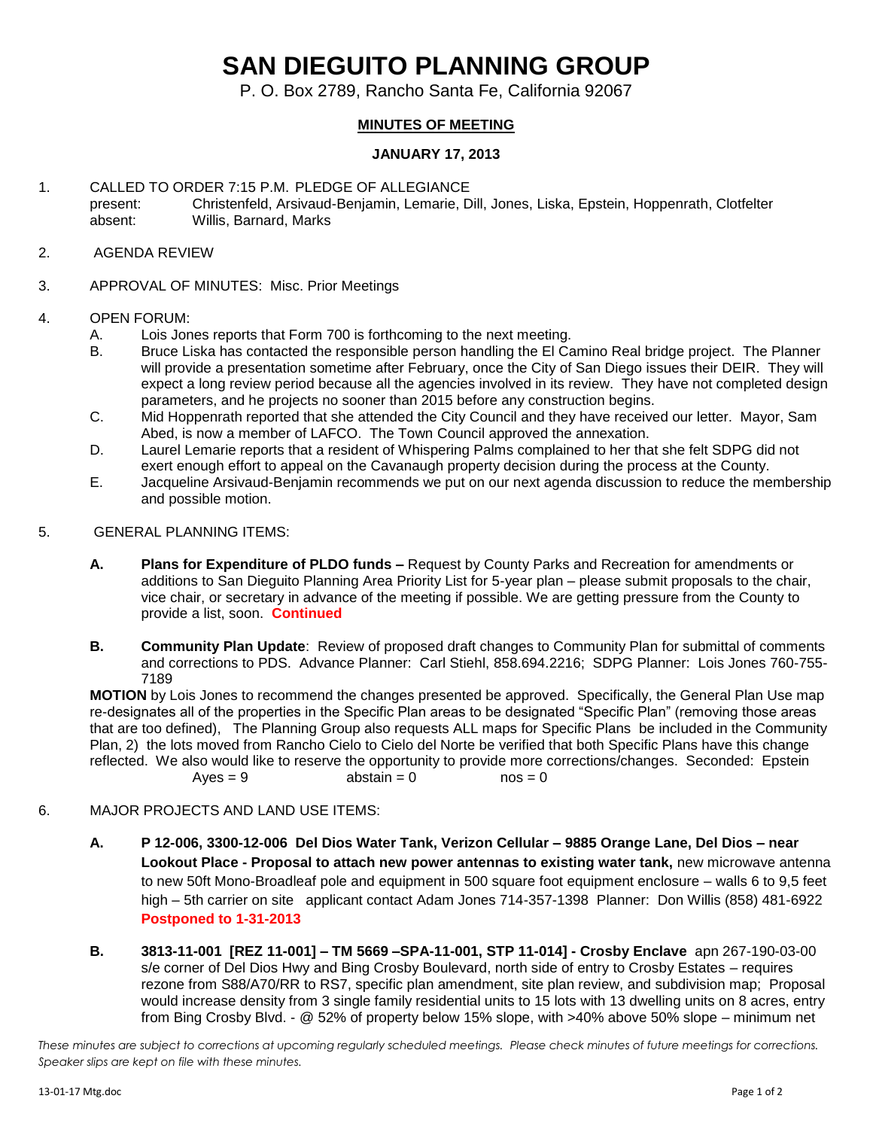# **SAN DIEGUITO PLANNING GROUP**

P. O. Box 2789, Rancho Santa Fe, California 92067

# **MINUTES OF MEETING**

## **JANUARY 17, 2013**

1. CALLED TO ORDER 7:15 P.M. PLEDGE OF ALLEGIANCE present: Christenfeld, Arsivaud-Benjamin, Lemarie, Dill, Jones, Liska, Epstein, Hoppenrath, Clotfelter absent: Willis, Barnard, Marks

#### 2. AGENDA REVIEW

3. APPROVAL OF MINUTES: Misc. Prior Meetings

#### 4. OPEN FORUM:

- A. Lois Jones reports that Form 700 is forthcoming to the next meeting.
- B. Bruce Liska has contacted the responsible person handling the El Camino Real bridge project. The Planner will provide a presentation sometime after February, once the City of San Diego issues their DEIR. They will expect a long review period because all the agencies involved in its review. They have not completed design parameters, and he projects no sooner than 2015 before any construction begins.
- C. Mid Hoppenrath reported that she attended the City Council and they have received our letter. Mayor, Sam Abed, is now a member of LAFCO. The Town Council approved the annexation.
- D. Laurel Lemarie reports that a resident of Whispering Palms complained to her that she felt SDPG did not exert enough effort to appeal on the Cavanaugh property decision during the process at the County.
- E. Jacqueline Arsivaud-Benjamin recommends we put on our next agenda discussion to reduce the membership and possible motion.
- 5. GENERAL PLANNING ITEMS:
	- **A. Plans for Expenditure of PLDO funds –** Request by County Parks and Recreation for amendments or additions to San Dieguito Planning Area Priority List for 5-year plan – please submit proposals to the chair, vice chair, or secretary in advance of the meeting if possible. We are getting pressure from the County to provide a list, soon. **Continued**
	- **B. Community Plan Update**: Review of proposed draft changes to Community Plan for submittal of comments and corrections to PDS. Advance Planner: Carl Stiehl, 858.694.2216; SDPG Planner: Lois Jones 760-755- 7189

**MOTION** by Lois Jones to recommend the changes presented be approved. Specifically, the General Plan Use map re-designates all of the properties in the Specific Plan areas to be designated "Specific Plan" (removing those areas that are too defined), The Planning Group also requests ALL maps for Specific Plans be included in the Community Plan, 2) the lots moved from Rancho Cielo to Cielo del Norte be verified that both Specific Plans have this change reflected. We also would like to reserve the opportunity to provide more corrections/changes. Seconded: Epstein  $Ayes = 9$  abstain = 0 nos = 0

### 6. MAJOR PROJECTS AND LAND USE ITEMS:

- **A. P 12-006, 3300-12-006 Del Dios Water Tank, Verizon Cellular – 9885 Orange Lane, Del Dios – near Lookout Place - Proposal to attach new power antennas to existing water tank,** new microwave antenna to new 50ft Mono-Broadleaf pole and equipment in 500 square foot equipment enclosure – walls 6 to 9,5 feet high – 5th carrier on site applicant contact Adam Jones 714-357-1398 Planner: Don Willis (858) 481-6922 **Postponed to 1-31-2013**
- **B. 3813-11-001 [REZ 11-001] – TM 5669 –SPA-11-001, STP 11-014] - Crosby Enclave** apn 267-190-03-00 s/e corner of Del Dios Hwy and Bing Crosby Boulevard, north side of entry to Crosby Estates – requires rezone from S88/A70/RR to RS7, specific plan amendment, site plan review, and subdivision map; Proposal would increase density from 3 single family residential units to 15 lots with 13 dwelling units on 8 acres, entry from Bing Crosby Blvd. - @ 52% of property below 15% slope, with >40% above 50% slope – minimum net

*These minutes are subject to corrections at upcoming regularly scheduled meetings. Please check minutes of future meetings for corrections. Speaker slips are kept on file with these minutes.*